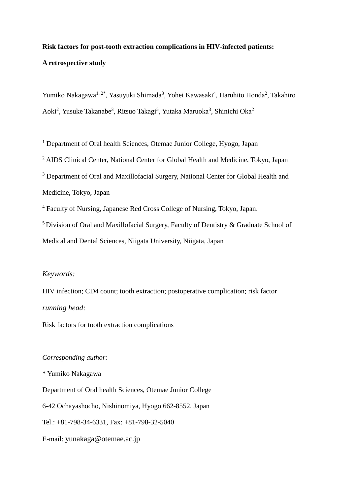## **Risk factors for post-tooth extraction complications in HIV-infected patients: A retrospective study**

Yumiko Nakagawa<sup>1, 2\*</sup>, Yasuyuki Shimada<sup>3</sup>, Yohei Kawasaki<sup>4</sup>, Haruhito Honda<sup>2</sup>, Takahiro Aoki<sup>2</sup>, Yusuke Takanabe<sup>3</sup>, Ritsuo Takagi<sup>5</sup>, Yutaka Maruoka<sup>3</sup>, Shinichi Oka<sup>2</sup>

<sup>1</sup> Department of Oral health Sciences, Otemae Junior College, Hyogo, Japan

<sup>2</sup> AIDS Clinical Center, National Center for Global Health and Medicine, Tokyo, Japan

<sup>3</sup> Department of Oral and Maxillofacial Surgery, National Center for Global Health and Medicine, Tokyo, Japan

<sup>4</sup> Faculty of Nursing, Japanese Red Cross College of Nursing, Tokyo, Japan.

 $5$  Division of Oral and Maxillofacial Surgery, Faculty of Dentistry & Graduate School of Medical and Dental Sciences, Niigata University, Niigata, Japan

### *Keywords:*

HIV infection; CD4 count; tooth extraction; postoperative complication; risk factor *running head:* 

Risk factors for tooth extraction complications

## *Corresponding author:*

\* Yumiko Nakagawa Department of Oral health Sciences, Otemae Junior College 6-42 Ochayashocho, Nishinomiya, Hyogo 662-8552, Japan Tel.: +81-798-34-6331, Fax: +81-798-32-5040 E-mail: yunakaga@otemae.ac.jp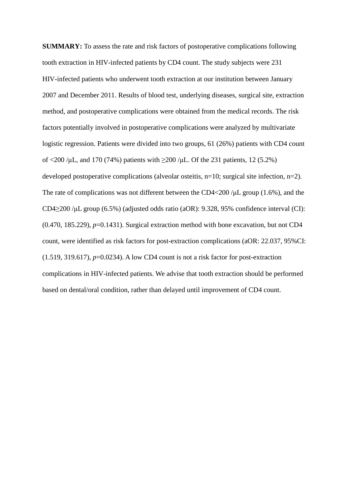**SUMMARY:** To assess the rate and risk factors of postoperative complications following tooth extraction in HIV-infected patients by CD4 count. The study subjects were 231 HIV-infected patients who underwent tooth extraction at our institution between January 2007 and December 2011. Results of blood test, underlying diseases, surgical site, extraction method, and postoperative complications were obtained from the medical records. The risk factors potentially involved in postoperative complications were analyzed by multivariate logistic regression. Patients were divided into two groups, 61 (26%) patients with CD4 count of  $\langle 200 \rangle$  /μL, and 170 (74%) patients with  $\geq$  200 /μL. Of the 231 patients, 12 (5.2%) developed postoperative complications (alveolar osteitis, n=10; surgical site infection, n=2). The rate of complications was not different between the CD4<200 /μL group (1.6%), and the CD4≥200 /μL group (6.5%) (adjusted odds ratio (aOR): 9.328, 95% confidence interval (CI):  $(0.470, 185.229), p=0.1431$ . Surgical extraction method with bone excavation, but not CD4 count, were identified as risk factors for post-extraction complications (aOR: 22.037, 95%CI:  $(1.519, 319.617), p=0.0234$ . A low CD4 count is not a risk factor for post-extraction complications in HIV-infected patients. We advise that tooth extraction should be performed based on dental/oral condition, rather than delayed until improvement of CD4 count.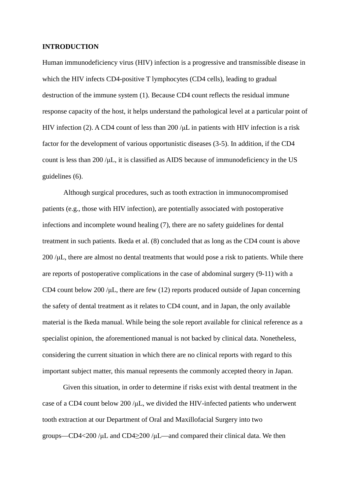#### **INTRODUCTION**

Human immunodeficiency virus (HIV) infection is a progressive and transmissible disease in which the HIV infects CD4-positive T lymphocytes (CD4 cells), leading to gradual destruction of the immune system (1). Because CD4 count reflects the residual immune response capacity of the host, it helps understand the pathological level at a particular point of HIV infection (2). A CD4 count of less than 200 / $\mu$ L in patients with HIV infection is a risk factor for the development of various opportunistic diseases (3-5). In addition, if the CD4 count is less than 200 /μL, it is classified as AIDS because of immunodeficiency in the US guidelines (6).

Although surgical procedures, such as tooth extraction in immunocompromised patients (e.g., those with HIV infection), are potentially associated with postoperative infections and incomplete wound healing (7), there are no safety guidelines for dental treatment in such patients. Ikeda et al. (8) concluded that as long as the CD4 count is above  $200 / \mu L$ , there are almost no dental treatments that would pose a risk to patients. While there are reports of postoperative complications in the case of abdominal surgery (9-11) with a CD4 count below 200 / $\mu$ L, there are few (12) reports produced outside of Japan concerning the safety of dental treatment as it relates to CD4 count, and in Japan, the only available material is the Ikeda manual. While being the sole report available for clinical reference as a specialist opinion, the aforementioned manual is not backed by clinical data. Nonetheless, considering the current situation in which there are no clinical reports with regard to this important subject matter, this manual represents the commonly accepted theory in Japan.

Given this situation, in order to determine if risks exist with dental treatment in the case of a CD4 count below 200 /μL, we divided the HIV-infected patients who underwent tooth extraction at our Department of Oral and Maxillofacial Surgery into two groups—CD4<200 /μL and CD4≥200 /μL—and compared their clinical data. We then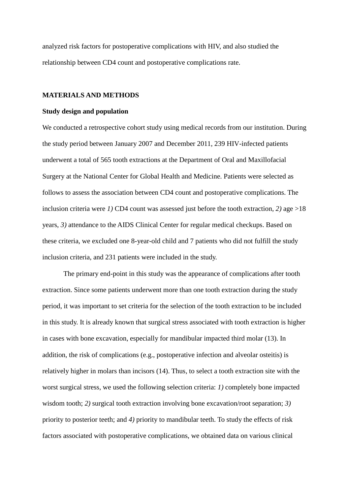analyzed risk factors for postoperative complications with HIV, and also studied the relationship between CD4 count and postoperative complications rate.

#### **MATERIALS AND METHODS**

#### **Study design and population**

We conducted a retrospective cohort study using medical records from our institution. During the study period between January 2007 and December 2011, 239 HIV-infected patients underwent a total of 565 tooth extractions at the Department of Oral and Maxillofacial Surgery at the National Center for Global Health and Medicine. Patients were selected as follows to assess the association between CD4 count and postoperative complications. The inclusion criteria were *1)* CD4 count was assessed just before the tooth extraction, *2)* age >18 years, *3)* attendance to the AIDS Clinical Center for regular medical checkups. Based on these criteria, we excluded one 8-year-old child and 7 patients who did not fulfill the study inclusion criteria, and 231 patients were included in the study.

The primary end-point in this study was the appearance of complications after tooth extraction. Since some patients underwent more than one tooth extraction during the study period, it was important to set criteria for the selection of the tooth extraction to be included in this study. It is already known that surgical stress associated with tooth extraction is higher in cases with bone excavation, especially for mandibular impacted third molar (13). In addition, the risk of complications (e.g., postoperative infection and alveolar osteitis) is relatively higher in molars than incisors (14). Thus, to select a tooth extraction site with the worst surgical stress, we used the following selection criteria: *1)* completely bone impacted wisdom tooth; *2)* surgical tooth extraction involving bone excavation/root separation; *3)* priority to posterior teeth; and *4)* priority to mandibular teeth. To study the effects of risk factors associated with postoperative complications, we obtained data on various clinical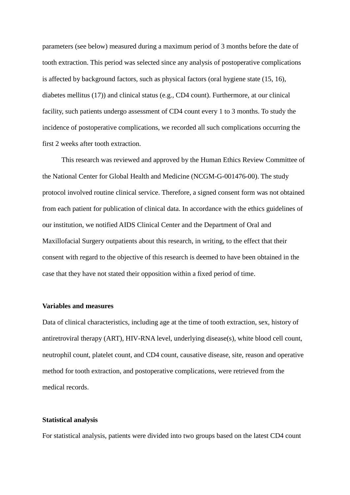parameters (see below) measured during a maximum period of 3 months before the date of tooth extraction. This period was selected since any analysis of postoperative complications is affected by background factors, such as physical factors (oral hygiene state (15, 16), diabetes mellitus (17)) and clinical status (e.g., CD4 count). Furthermore, at our clinical facility, such patients undergo assessment of CD4 count every 1 to 3 months. To study the incidence of postoperative complications, we recorded all such complications occurring the first 2 weeks after tooth extraction.

This research was reviewed and approved by the Human Ethics Review Committee of the National Center for Global Health and Medicine (NCGM-G-001476-00). The study protocol involved routine clinical service. Therefore, a signed consent form was not obtained from each patient for publication of clinical data. In accordance with the ethics guidelines of our institution, we notified AIDS Clinical Center and the Department of Oral and Maxillofacial Surgery outpatients about this research, in writing, to the effect that their consent with regard to the objective of this research is deemed to have been obtained in the case that they have not stated their opposition within a fixed period of time.

#### **Variables and measures**

Data of clinical characteristics, including age at the time of tooth extraction, sex, history of antiretroviral therapy (ART), HIV-RNA level, underlying disease(s), white blood cell count, neutrophil count, platelet count, and CD4 count, causative disease, site, reason and operative method for tooth extraction, and postoperative complications, were retrieved from the medical records.

#### **Statistical analysis**

For statistical analysis, patients were divided into two groups based on the latest CD4 count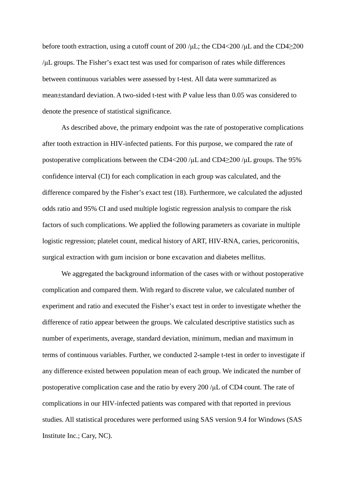before tooth extraction, using a cutoff count of 200 / $\mu$ L; the CD4<200 / $\mu$ L and the CD4 $\geq$ 200 /μL groups. The Fisher's exact test was used for comparison of rates while differences between continuous variables were assessed by t-test. All data were summarized as mean±standard deviation. A two-sided t-test with *P* value less than 0.05 was considered to denote the presence of statistical significance.

As described above, the primary endpoint was the rate of postoperative complications after tooth extraction in HIV-infected patients. For this purpose, we compared the rate of postoperative complications between the CD4<200 /μL and CD4≥200 /μL groups. The 95% confidence interval (CI) for each complication in each group was calculated, and the difference compared by the Fisher's exact test (18). Furthermore, we calculated the adjusted odds ratio and 95% CI and used multiple logistic regression analysis to compare the risk factors of such complications. We applied the following parameters as covariate in multiple logistic regression; platelet count, medical history of ART, HIV-RNA, caries, pericoronitis, surgical extraction with gum incision or bone excavation and diabetes mellitus.

We aggregated the background information of the cases with or without postoperative complication and compared them. With regard to discrete value, we calculated number of experiment and ratio and executed the Fisher's exact test in order to investigate whether the difference of ratio appear between the groups. We calculated descriptive statistics such as number of experiments, average, standard deviation, minimum, median and maximum in terms of continuous variables. Further, we conducted 2-sample t-test in order to investigate if any difference existed between population mean of each group. We indicated the number of postoperative complication case and the ratio by every 200 /μL of CD4 count. The rate of complications in our HIV-infected patients was compared with that reported in previous studies. All statistical procedures were performed using SAS version 9.4 for Windows (SAS Institute Inc.; Cary, NC).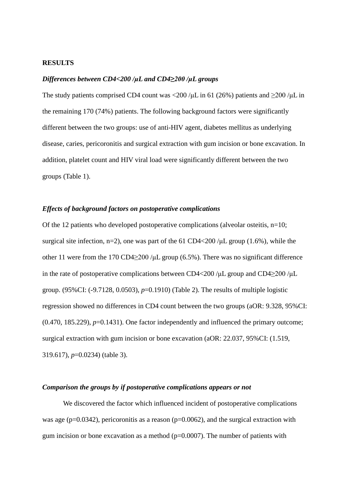#### **RESULTS**

#### *Differences between CD4<200 /μL and CD4≥200 /μL groups*

The study patients comprised CD4 count was <200 /µL in 61 (26%) patients and  $\geq$ 200 /µL in the remaining 170 (74%) patients. The following background factors were significantly different between the two groups: use of anti-HIV agent, diabetes mellitus as underlying disease, caries, pericoronitis and surgical extraction with gum incision or bone excavation. In addition, platelet count and HIV viral load were significantly different between the two groups (Table 1).

#### *Effects of background factors on postoperative complications*

Of the 12 patients who developed postoperative complications (alveolar osteitis, n=10; surgical site infection, n=2), one was part of the 61 CD4<200/ $\mu$ L group (1.6%), while the other 11 were from the 170 CD4 $\geq$ 200 /µL group (6.5%). There was no significant difference in the rate of postoperative complications between CD4<200 /μL group and CD4≥200 /μL group. (95%CI: (-9.7128, 0.0503), *p*=0.1910) (Table 2). The results of multiple logistic regression showed no differences in CD4 count between the two groups (aOR: 9.328, 95%CI:  $(0.470, 185.229), p=0.1431$ . One factor independently and influenced the primary outcome; surgical extraction with gum incision or bone excavation (aOR: 22.037, 95%CI: (1.519, 319.617), *p*=0.0234) (table 3).

#### *Comparison the groups by if postoperative complications appears or not*

We discovered the factor which influenced incident of postoperative complications was age ( $p=0.0342$ ), pericoronitis as a reason ( $p=0.0062$ ), and the surgical extraction with gum incision or bone excavation as a method  $(p=0.0007)$ . The number of patients with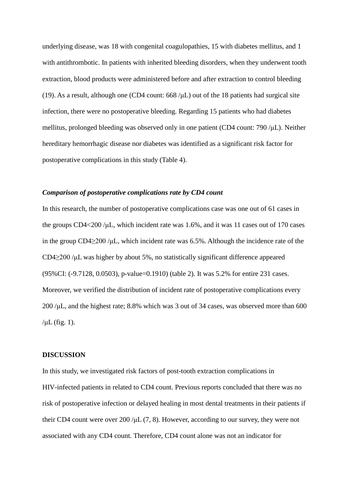underlying disease, was 18 with congenital coagulopathies, 15 with diabetes mellitus, and 1 with antithrombotic. In patients with inherited bleeding disorders, when they underwent tooth extraction, blood products were administered before and after extraction to control bleeding (19). As a result, although one (CD4 count:  $668 / \mu L$ ) out of the 18 patients had surgical site infection, there were no postoperative bleeding. Regarding 15 patients who had diabetes mellitus, prolonged bleeding was observed only in one patient (CD4 count: 790 /μL). Neither hereditary hemorrhagic disease nor diabetes was identified as a significant risk factor for postoperative complications in this study (Table 4).

#### *Comparison of postoperative complications rate by CD4 count*

In this research, the number of postoperative complications case was one out of 61 cases in the groups CD4<200 /μL, which incident rate was 1.6%, and it was 11 cases out of 170 cases in the group CD4≥200 /μL, which incident rate was 6.5%. Although the incidence rate of the CD4≥200 /μL was higher by about 5%, no statistically significant difference appeared (95%CI: (-9.7128, 0.0503), p-value=0.1910) (table 2). It was 5.2% for entire 231 cases. Moreover, we verified the distribution of incident rate of postoperative complications every 200 /μL, and the highest rate; 8.8% which was 3 out of 34 cases, was observed more than 600  $/\mu L$  (fig. 1).

#### **DISCUSSION**

In this study, we investigated risk factors of post-tooth extraction complications in HIV-infected patients in related to CD4 count. Previous reports concluded that there was no risk of postoperative infection or delayed healing in most dental treatments in their patients if their CD4 count were over 200 /μL (7, 8). However, according to our survey, they were not associated with any CD4 count. Therefore, CD4 count alone was not an indicator for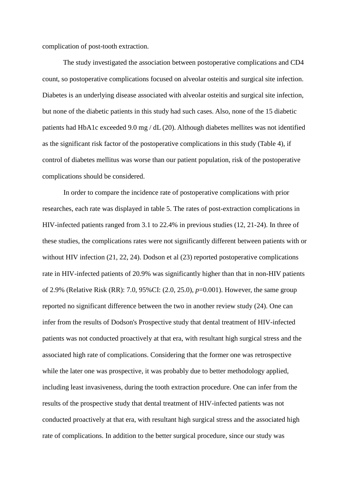complication of post-tooth extraction.

The study investigated the association between postoperative complications and CD4 count, so postoperative complications focused on alveolar osteitis and surgical site infection. Diabetes is an underlying disease associated with alveolar osteitis and surgical site infection, but none of the diabetic patients in this study had such cases. Also, none of the 15 diabetic patients had HbA1c exceeded 9.0 mg / dL (20). Although diabetes mellites was not identified as the significant risk factor of the postoperative complications in this study (Table 4), if control of diabetes mellitus was worse than our patient population, risk of the postoperative complications should be considered.

In order to compare the incidence rate of postoperative complications with prior researches, each rate was displayed in table 5. The rates of post-extraction complications in HIV-infected patients ranged from 3.1 to 22.4% in previous studies (12, 21-24). In three of these studies, the complications rates were not significantly different between patients with or without HIV infection (21, 22, 24). Dodson et al (23) reported postoperative complications rate in HIV-infected patients of 20.9% was significantly higher than that in non-HIV patients of 2.9% (Relative Risk (RR): 7.0, 95%CI: (2.0, 25.0), *p*=0.001). However, the same group reported no significant difference between the two in another review study (24). One can infer from the results of Dodson's Prospective study that dental treatment of HIV-infected patients was not conducted proactively at that era, with resultant high surgical stress and the associated high rate of complications. Considering that the former one was retrospective while the later one was prospective, it was probably due to better methodology applied, including least invasiveness, during the tooth extraction procedure. One can infer from the results of the prospective study that dental treatment of HIV-infected patients was not conducted proactively at that era, with resultant high surgical stress and the associated high rate of complications. In addition to the better surgical procedure, since our study was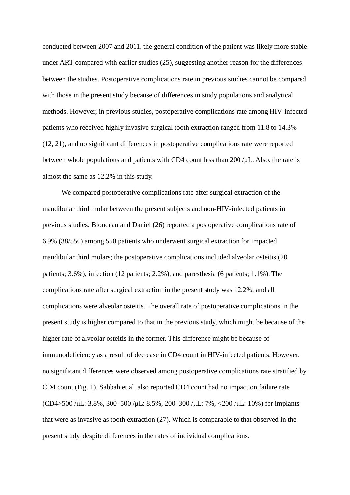conducted between 2007 and 2011, the general condition of the patient was likely more stable under ART compared with earlier studies (25), suggesting another reason for the differences between the studies. Postoperative complications rate in previous studies cannot be compared with those in the present study because of differences in study populations and analytical methods. However, in previous studies, postoperative complications rate among HIV-infected patients who received highly invasive surgical tooth extraction ranged from 11.8 to 14.3% (12, 21), and no significant differences in postoperative complications rate were reported between whole populations and patients with CD4 count less than 200 /μL. Also, the rate is almost the same as 12.2% in this study.

We compared postoperative complications rate after surgical extraction of the mandibular third molar between the present subjects and non-HIV-infected patients in previous studies. Blondeau and Daniel (26) reported a postoperative complications rate of 6.9% (38/550) among 550 patients who underwent surgical extraction for impacted mandibular third molars; the postoperative complications included alveolar osteitis (20 patients; 3.6%), infection (12 patients; 2.2%), and paresthesia (6 patients; 1.1%). The complications rate after surgical extraction in the present study was 12.2%, and all complications were alveolar osteitis. The overall rate of postoperative complications in the present study is higher compared to that in the previous study, which might be because of the higher rate of alveolar osteitis in the former. This difference might be because of immunodeficiency as a result of decrease in CD4 count in HIV-infected patients. However, no significant differences were observed among postoperative complications rate stratified by CD4 count (Fig. 1). Sabbah et al. also reported CD4 count had no impact on failure rate (CD4>500 /μL: 3.8%, 300–500 /μL: 8.5%, 200–300 /μL: 7%, <200 /μL: 10%) for implants that were as invasive as tooth extraction (27). Which is comparable to that observed in the present study, despite differences in the rates of individual complications.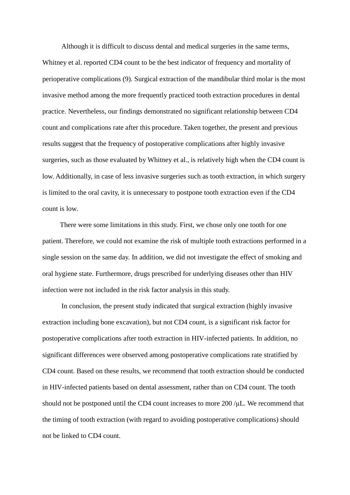Although it is difficult to discuss dental and medical surgeries in the same terms, Whitney et al. reported CD4 count to be the best indicator of frequency and mortality of perioperative complications (9). Surgical extraction of the mandibular third molar is the most invasive method among the more frequently practiced tooth extraction procedures in dental practice. Nevertheless, our findings demonstrated no significant relationship between CD4 count and complications rate after this procedure. Taken together, the present and previous results suggest that the frequency of postoperative complications after highly invasive surgeries, such as those evaluated by Whitney et al., is relatively high when the CD4 count is low. Additionally, in case of less invasive surgeries such as tooth extraction, in which surgery is limited to the oral cavity, it is unnecessary to postpone tooth extraction even if the CD4 count is low.

There were some limitations in this study. First, we chose only one tooth for one patient. Therefore, we could not examine the risk of multiple tooth extractions performed in a single session on the same day. In addition, we did not investigate the effect of smoking and oral hygiene state. Furthermore, drugs prescribed for underlying diseases other than HIV infection were not included in the risk factor analysis in this study.

In conclusion, the present study indicated that surgical extraction (highly invasive extraction including bone excavation), but not CD4 count, is a significant risk factor for postoperative complications after tooth extraction in HIV-infected patients. In addition, no significant differences were observed among postoperative complications rate stratified by CD4 count. Based on these results, we recommend that tooth extraction should be conducted in HIV-infected patients based on dental assessment, rather than on CD4 count. The tooth should not be postponed until the CD4 count increases to more 200 /μL. We recommend that the timing of tooth extraction (with regard to avoiding postoperative complications) should not be linked to CD4 count.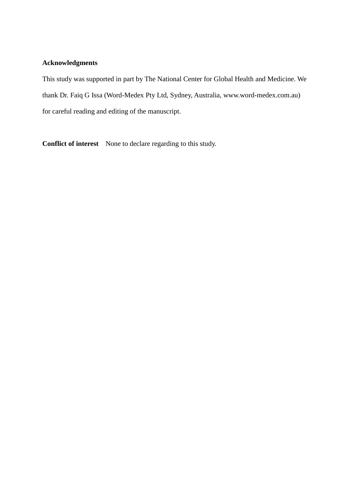## **Acknowledgments**

This study was supported in part by The National Center for Global Health and Medicine. We thank Dr. Faiq G Issa (Word-Medex Pty Ltd, Sydney, Australia, www.word-medex.com.au) for careful reading and editing of the manuscript.

**Conflict of interest** None to declare regarding to this study.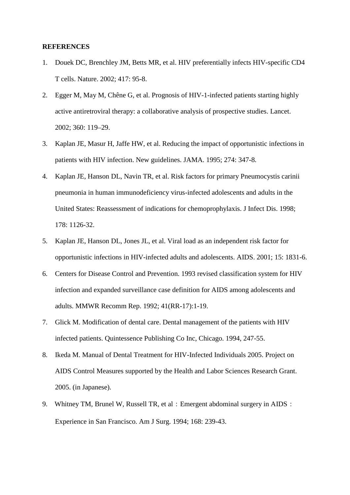#### **REFERENCES**

- 1. Douek DC, Brenchley JM, Betts MR, et al. HIV preferentially infects HIV-specific CD4 T cells. Nature. 2002; 417: 95-8.
- 2. Egger M, May M, Chêne G, et al. Prognosis of HIV-1-infected patients starting highly active antiretroviral therapy: a collaborative analysis of prospective studies. Lancet. 2002; 360: 119–29.
- 3. Kaplan JE, Masur H, Jaffe HW, et al. Reducing the impact of opportunistic infections in patients with HIV infection. New guidelines. JAMA. 1995; 274: 347-8.
- 4. Kaplan JE, Hanson DL, Navin TR, et al. Risk factors for primary Pneumocystis carinii pneumonia in human immunodeficiency virus-infected adolescents and adults in the United States: Reassessment of indications for chemoprophylaxis. J Infect Dis. 1998; 178: 1126-32.
- 5. Kaplan JE, Hanson DL, Jones JL, et al. Viral load as an independent risk factor for opportunistic infections in HIV-infected adults and adolescents. AIDS. 2001; 15: 1831-6.
- 6. Centers for Disease Control and Prevention. 1993 revised classification system for HIV infection and expanded surveillance case definition for AIDS among adolescents and adults. MMWR Recomm Rep. 1992; 41(RR-17):1-19.
- 7. Glick M. Modification of dental care. Dental management of the patients with HIV infected patients. Quintessence Publishing Co Inc, Chicago. 1994, 247-55.
- 8. Ikeda M. Manual of Dental Treatment for HIV-Infected Individuals 2005. Project on AIDS Control Measures supported by the Health and Labor Sciences Research Grant. 2005. (in Japanese).
- 9. Whitney TM, Brunel W, Russell TR, et al: Emergent abdominal surgery in AIDS: Experience in San Francisco. Am J Surg. 1994; 168: 239-43.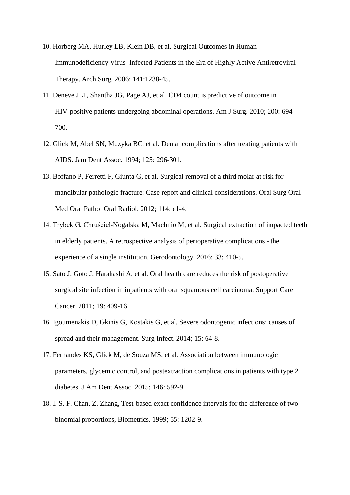- 10. Horberg MA, Hurley LB, Klein DB, et al. Surgical Outcomes in Human Immunodeficiency Virus–Infected Patients in the Era of Highly Active Antiretroviral Therapy. Arch Surg. 2006; 141:1238-45.
- 11. Deneve JL1, Shantha JG, Page AJ, et al. CD4 count is predictive of outcome in HIV-positive patients undergoing abdominal operations. Am J Surg. 2010; 200: 694– 700.
- 12. Glick M, Abel SN, Muzyka BC, et al. Dental complications after treating patients with AIDS. Jam Dent Assoc. 1994; 125: 296-301.
- 13. Boffano P, Ferretti F, Giunta G, et al. Surgical removal of a third molar at risk for mandibular pathologic fracture: Case report and clinical considerations. Oral Surg Oral Med Oral Pathol Oral Radiol. 2012; 114: e1-4.
- 14. Trybek G, Chruściel-Nogalska M, Machnio M, et al. Surgical extraction of impacted teeth in elderly patients. A retrospective analysis of perioperative complications - the experience of a single institution. Gerodontology. 2016; 33: 410-5.
- 15. Sato J, Goto J, Harahashi A, et al. Oral health care reduces the risk of postoperative surgical site infection in inpatients with oral squamous cell carcinoma. Support Care Cancer. 2011; 19: 409-16.
- 16. Igoumenakis D, Gkinis G, Kostakis G, et al. Severe odontogenic infections: causes of spread and their management. Surg Infect. 2014; 15: 64-8.
- 17. Fernandes KS, Glick M, de Souza MS, et al. Association between immunologic parameters, glycemic control, and postextraction complications in patients with type 2 diabetes. J Am Dent Assoc. 2015; 146: 592-9.
- 18. I. S. F. Chan, Z. Zhang, Test-based exact confidence intervals for the difference of two binomial proportions, Biometrics. 1999; 55: 1202-9.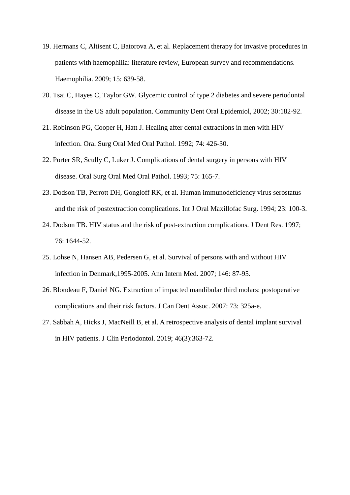- 19. Hermans C, Altisent C, Batorova A, et al. Replacement therapy for invasive procedures in patients with haemophilia: literature review, European survey and recommendations. Haemophilia. 2009; 15: 639-58.
- 20. Tsai C, Hayes C, Taylor GW. Glycemic control of type 2 diabetes and severe periodontal disease in the US adult population. Community Dent Oral Epidemiol, 2002; 30:182-92.
- 21. Robinson PG, Cooper H, Hatt J. Healing after dental extractions in men with HIV infection. Oral Surg Oral Med Oral Pathol. 1992; 74: 426-30.
- 22. Porter SR, Scully C, Luker J. Complications of dental surgery in persons with HIV disease. Oral Surg Oral Med Oral Pathol. 1993; 75: 165-7.
- 23. Dodson TB, Perrott DH, Gongloff RK, et al. Human immunodeficiency virus serostatus and the risk of postextraction complications. Int J Oral Maxillofac Surg. 1994; 23: 100-3.
- 24. Dodson TB. HIV status and the risk of post-extraction complications. J Dent Res. 1997; 76: 1644-52.
- 25. Lohse N, Hansen AB, Pedersen G, et al. Survival of persons with and without HIV infection in Denmark,1995-2005. Ann Intern Med. 2007; 146: 87-95.
- 26. Blondeau F, Daniel NG. Extraction of impacted mandibular third molars: postoperative complications and their risk factors. J Can Dent Assoc. 2007: 73: 325a-e.
- 27. Sabbah A, Hicks J, MacNeill B, et al. A retrospective analysis of dental implant survival in HIV patients. J Clin Periodontol. 2019; 46(3):363-72.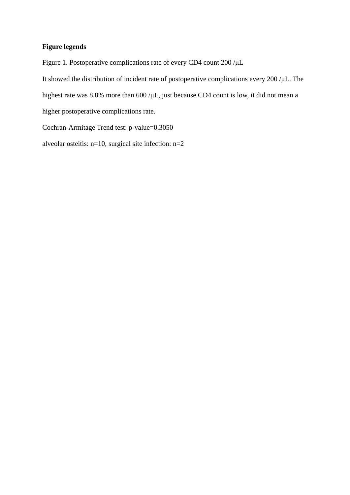## **Figure legends**

Figure 1. Postoperative complications rate of every CD4 count 200 /μL

It showed the distribution of incident rate of postoperative complications every 200 /μL. The highest rate was 8.8% more than 600 /μL, just because CD4 count is low, it did not mean a

higher postoperative complications rate.

Cochran-Armitage Trend test: p-value=0.3050

alveolar osteitis: n=10, surgical site infection: n=2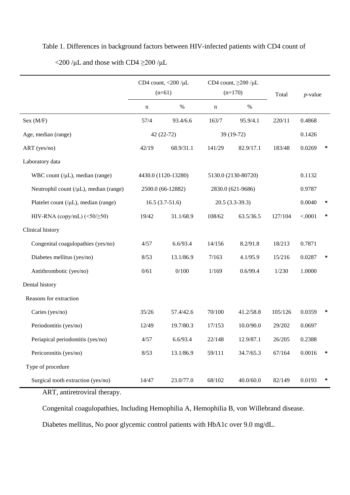|                                                     | CD4 count, $<$ 200 / $\mu$ L |                     | CD4 count, $\geq$ 200 /µL |                     |         |            |        |
|-----------------------------------------------------|------------------------------|---------------------|---------------------------|---------------------|---------|------------|--------|
|                                                     | $(n=61)$                     |                     | $(n=170)$                 |                     | Total   | $p$ -value |        |
|                                                     | $\mathbf n$                  | $\%$                | n                         | $\%$                |         |            |        |
| Sex (M/F)                                           | 57/4                         | 93.4/6.6            | 163/7                     | 95.9/4.1            | 220/11  | 0.4868     |        |
| Age, median (range)                                 |                              | 42 (22-72)          | 39 (19-72)                |                     |         | 0.1426     |        |
| ART (yes/no)                                        | 42/19                        | 68.9/31.1           | 141/29                    | 82.9/17.1           | 183/48  | 0.0269     | $\ast$ |
| Laboratory data                                     |                              |                     |                           |                     |         |            |        |
| WBC count $(\mu L)$ , median (range)                |                              | 4430.0 (1120-13280) |                           | 5130.0 (2130-80720) |         | 0.1132     |        |
| Neutrophil count $($ / $\mu$ L $)$ , median (range) |                              | 2500.0 (66-12882)   | 2830.0 (621-9686)         |                     |         | 0.9787     |        |
| Platelet count $($ / $\mu$ L $)$ , median (range)   |                              | $16.5(3.7-51.6)$    | $20.5(3.3-39.3)$          |                     |         | 0.0040     | $\ast$ |
| HIV-RNA (copy/mL) $(\leq 50/\geq 50)$               | 19/42                        | 31.1/68.9           | 108/62                    | 63.5/36.5           | 127/104 | < .0001    | $\ast$ |
| Clinical history                                    |                              |                     |                           |                     |         |            |        |
| Congenital coagulopathies (yes/no)                  | 4/57                         | 6.6/93.4            | 14/156                    | 8.2/91.8            | 18/213  | 0.7871     |        |
| Diabetes mellitus (yes/no)                          | 8/53                         | 13.1/86.9           | 7/163                     | 4.1/95.9            | 15/216  | 0.0287     | ∗      |
| Antithrombotic (yes/no)                             | 0/61                         | 0/100               | 1/169                     | 0.6/99.4            | 1/230   | 1.0000     |        |
| Dental history                                      |                              |                     |                           |                     |         |            |        |
| Reasons for extraction                              |                              |                     |                           |                     |         |            |        |
| Caries (yes/no)                                     | 35/26                        | 57.4/42.6           | 70/100                    | 41.2/58.8           | 105/126 | 0.0359     | ∗      |
| Periodontitis (yes/no)                              | 12/49                        | 19.7/80.3           | 17/153                    | 10.0/90.0           | 29/202  | 0.0697     |        |
| Periapical periodontitis (yes/no)                   | 4/57                         | 6.6/93.4            | 22/148                    | 12.9/87.1           | 26/205  | 0.2388     |        |
| Pericoronitis (yes/no)                              | 8/53                         | 13.1/86.9           | 59/111                    | 34.7/65.3           | 67/164  | 0.0016     | $\ast$ |
| Type of procedure                                   |                              |                     |                           |                     |         |            |        |
| Surgical tooth extraction (yes/no)                  | 14/47                        | 23.0/77.0           | 68/102                    | 40.0/60.0           | 82/149  | 0.0193     | ∗      |

# Table 1. Differences in background factors between HIV-infected patients with CD4 count of  $\langle 200/\mu L$  and those with CD4  $\geq$ 200/ $\mu L$

ART, antiretroviral therapy.

Congenital coagulopathies, Including Hemophilia A, Hemophilia B, von Willebrand disease.

Diabetes mellitus, No poor glycemic control patients with HbA1c over 9.0 mg/dL.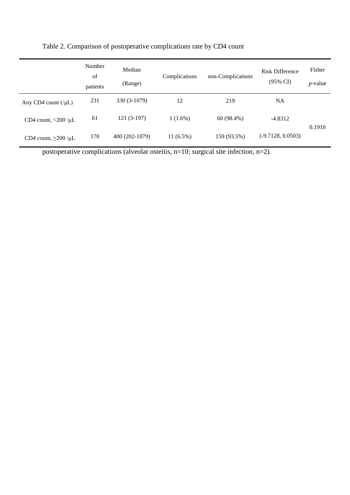|                                  | Number<br>of<br>patients | Median<br>(Range) | Complications | non-Complications | <b>Risk Difference</b><br>$(95\% \text{ CI})$ | Fisher<br>$p$ -value |
|----------------------------------|--------------------------|-------------------|---------------|-------------------|-----------------------------------------------|----------------------|
| Any CD4 count $(\mu L)$          | 231                      | 330 (3-1079)      | 12            | 219               | <b>NA</b>                                     |                      |
| CD4 count, $<$ 200 / $\mu$ L     | 61                       | $121(3-197)$      | $1(1.6\%)$    | 60 (98.4%)        | $-4.8312$                                     | 0.1910               |
| 170<br>CD4 count, $\geq$ 200 /µL |                          | 400 (202-1079)    | $11(6.5\%)$   | 159 (93.5%)       | $(-9.7128, 0.0503)$                           |                      |

Table 2. Comparison of postoperative complications rate by CD4 count

postoperative complications (alveolar osteitis, n=10; surgical site infection, n=2).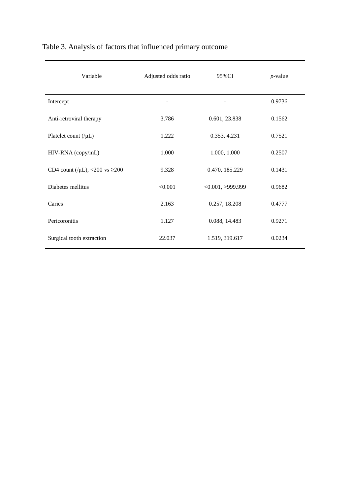| Variable                                  | Adjusted odds ratio | 95%CI            | $p$ -value |
|-------------------------------------------|---------------------|------------------|------------|
| Intercept                                 |                     |                  | 0.9736     |
| Anti-retroviral therapy                   | 3.786               | 0.601, 23.838    | 0.1562     |
| Platelet count $($ / $\mu$ L $)$          | 1.222               | 0.353, 4.231     | 0.7521     |
| HIV-RNA (copy/mL)                         | 1.000               | 1.000, 1.000     | 0.2507     |
| CD4 count (/ $\mu$ L), <200 vs $\geq$ 200 | 9.328               | 0.470, 185.229   | 0.1431     |
| Diabetes mellitus                         | < 0.001             | <0.001, >999.999 | 0.9682     |
| Caries                                    | 2.163               | 0.257, 18.208    | 0.4777     |
| Pericoronitis                             | 1.127               | 0.088, 14.483    | 0.9271     |
| Surgical tooth extraction                 | 22.037              | 1.519, 319.617   | 0.0234     |

## Table 3. Analysis of factors that influenced primary outcome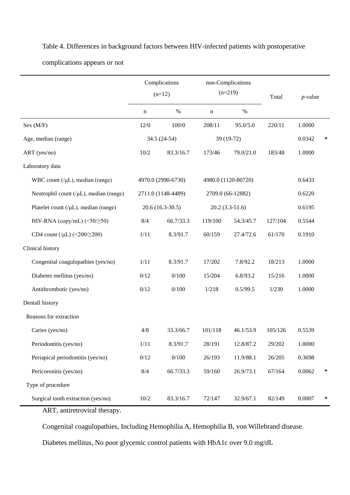|                                                     | Complications<br>$(n=12)$ |                    | non-Complications<br>$(n=219)$ |           | Total   | $p$ -value |        |
|-----------------------------------------------------|---------------------------|--------------------|--------------------------------|-----------|---------|------------|--------|
|                                                     | n                         | $\%$               | $\mathbf n$                    | $\%$      |         |            |        |
| Sex (M/F)                                           | $12/0$                    | 100/0              | 208/11                         | 95.0/5.0  | 220/11  | 1.0000     |        |
| Age, median (range)                                 |                           | 34.5 (24-54)       | 39 (19-72)                     |           |         | 0.0342     | $\ast$ |
| ART (yes/no)                                        | 10/2                      | 83.3/16.7          | 173/46                         | 79.0/21.0 | 183/48  | 1.0000     |        |
| Laboratory data                                     |                           |                    |                                |           |         |            |        |
| WBC count $($ / $\mu$ L $)$ , median (range)        |                           | 4970.0 (2990-6730) | 4980.0 (1120-80720)            |           |         | 0.6433     |        |
| Neutrophil count $($ / $\mu$ L $)$ , median (range) |                           | 2711.0 (1148-4489) | 2709.0 (66-12882)              |           |         | 0.6220     |        |
| Platelet count $($ / $\mu$ L $)$ , median (range)   | $20.6(16.3-30.5)$         |                    | $20.2(3.3-51.6)$               |           |         | 0.6195     |        |
| HIV-RNA (copy/mL) $(\leq 50/\geq 50)$               | 8/4                       | 66.7/33.3          | 119/100                        | 54.3/45.7 | 127/104 | 0.5544     |        |
| CD4 count (/ $\mu$ L) (<200/ $\geq$ 200)            | 1/11                      | 8.3/91.7           | 60/159                         | 27.4/72.6 | 61/170  | 0.1910     |        |
| Clinical history                                    |                           |                    |                                |           |         |            |        |
| Congenital coagulopathies (yes/no)                  | 1/11                      | 8.3/91.7           | 17/202                         | 7.8/92.2  | 18/213  | 1.0000     |        |
| Diabetes mellitus (yes/no)                          | 0/12                      | 0/100              | 15/204                         | 6.8/93.2  | 15/216  | 1.0000     |        |
| Antithrombotic (yes/no)                             | 0/12                      | 0/100              | 1/218                          | 0.5/99.5  | 1/230   | 1.0000     |        |
| Dentall history                                     |                           |                    |                                |           |         |            |        |
| Reasons for extraction                              |                           |                    |                                |           |         |            |        |
| Caries (yes/no)                                     | 4/8                       | 33.3/66.7          | 101/118                        | 46.1/53.9 | 105/126 | 0.5539     |        |
| Periodontitis (yes/no)                              | $1/11$                    | 8.3/91.7           | 28/191                         | 12.8/87.2 | 29/202  | 1.0000     |        |
| Periapical periodontitis (yes/no)                   | 0/12                      | 0/100              | 26/193                         | 11.9/88.1 | 26/205  | 0.3698     |        |
| Pericoronitis (yes/no)                              | 8/4                       | 66.7/33.3          | 59/160                         | 26.9/73.1 | 67/164  | 0.0062     | $\ast$ |
| Type of procedure                                   |                           |                    |                                |           |         |            |        |
| Surgical tooth extraction (yes/no)                  | $10/2\,$                  | 83.3/16.7          | 72/147                         | 32.9/67.1 | 82/149  | 0.0007     | *      |

Table 4. Differences in background factors between HIV-infected patients with postoperative complications appears or not

ART, antiretroviral therapy.

Congenital coagulopathies, Including Hemophilia A, Hemophilia B, von Willebrand disease.

Diabetes mellitus, No poor glycemic control patients with HbA1c over 9.0 mg/dL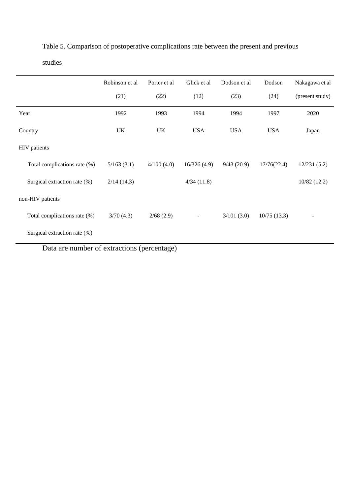|                              | Robinson et al | Porter et al | Glick et al | Dodson et al | Dodson      | Nakagawa et al  |
|------------------------------|----------------|--------------|-------------|--------------|-------------|-----------------|
|                              | (21)           | (22)         | (12)        | (23)         | (24)        | (present study) |
| Year                         | 1992           | 1993         | 1994        | 1994         | 1997        | 2020            |
| Country                      | UK             | UK           | <b>USA</b>  | <b>USA</b>   | <b>USA</b>  | Japan           |
| HIV patients                 |                |              |             |              |             |                 |
| Total complications rate (%) | 5/163(3.1)     | 4/100(4.0)   | 16/326(4.9) | 9/43(20.9)   | 17/76(22.4) | 12/231(5.2)     |
| Surgical extraction rate (%) | 2/14(14.3)     |              | 4/34(11.8)  |              |             | 10/82(12.2)     |
| non-HIV patients             |                |              |             |              |             |                 |
| Total complications rate (%) | 3/70(4.3)      | 2/68(2.9)    |             | 3/101(3.0)   | 10/75(13.3) |                 |
| Surgical extraction rate (%) |                |              |             |              |             |                 |

Table 5. Comparison of postoperative complications rate between the present and previous

studies

Data are number of extractions (percentage)